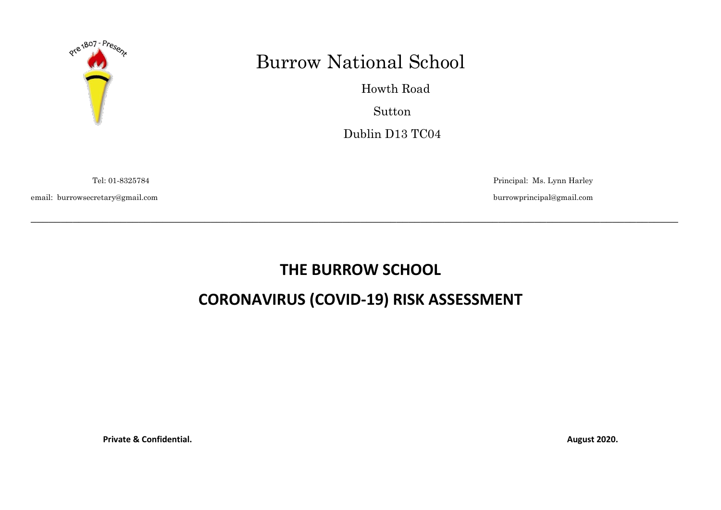

## Burrow National School

 Howth Road Sutton Dublin D13 TC04

email: burrowsecretary@gmail.com burrowprincipal@gmail.com

Tel: 01-8325784 Principal: Ms. Lynn Harley

## **THE BURROW SCHOOL**

\_\_\_\_\_\_\_\_\_\_\_\_\_\_\_\_\_\_\_\_\_\_\_\_\_\_\_\_\_\_\_\_\_\_\_\_\_\_\_\_\_\_\_\_\_\_\_\_\_\_\_\_\_\_\_\_\_\_\_\_\_\_\_\_\_\_\_\_\_\_\_\_\_\_\_\_\_\_\_\_\_\_\_\_\_\_\_\_\_\_\_\_\_\_\_\_\_\_\_\_\_\_\_\_\_\_\_\_

## **CORONAVIRUS (COVID-19) RISK ASSESSMENT**

**Private & Confidential. August 2020.**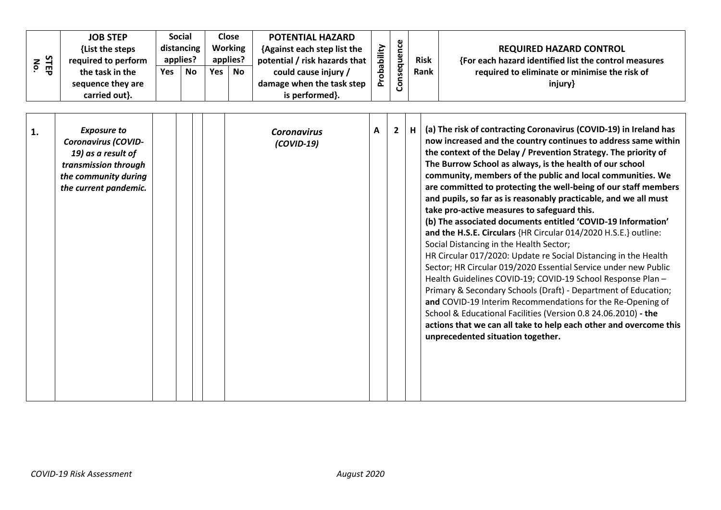| No.            | STEP | <b>JOB STEP</b><br>{List the steps<br>required to perform<br>the task in the<br>sequence they are<br>carried out}.                              | Yes | <b>Social</b><br>distancing<br>applies?<br><b>No</b> | Yes | <b>Close</b><br><b>Working</b><br>applies?<br><b>No</b> | <b>POTENTIAL HAZARD</b><br>{Against each step list the<br>potential / risk hazards that<br>could cause injury /<br>damage when the task step<br>is performed}. | Probability | Consequence  |   | <b>Risk</b><br>Rank | <b>REQUIRED HAZARD CONTROL</b><br>{For each hazard identified list the control measures<br>required to eliminate or minimise the risk of<br>injury}                                                                                                                                                                                                                                                                                                                                                                                                                                                                                                                                                                                                                                                                                                                                                                                                                                                                                                                                                                                                                                                                   |
|----------------|------|-------------------------------------------------------------------------------------------------------------------------------------------------|-----|------------------------------------------------------|-----|---------------------------------------------------------|----------------------------------------------------------------------------------------------------------------------------------------------------------------|-------------|--------------|---|---------------------|-----------------------------------------------------------------------------------------------------------------------------------------------------------------------------------------------------------------------------------------------------------------------------------------------------------------------------------------------------------------------------------------------------------------------------------------------------------------------------------------------------------------------------------------------------------------------------------------------------------------------------------------------------------------------------------------------------------------------------------------------------------------------------------------------------------------------------------------------------------------------------------------------------------------------------------------------------------------------------------------------------------------------------------------------------------------------------------------------------------------------------------------------------------------------------------------------------------------------|
| $\mathbf{1}$ . |      | <b>Exposure to</b><br><b>Coronavirus (COVID-</b><br>19) as a result of<br>transmission through<br>the community during<br>the current pandemic. |     |                                                      |     |                                                         | <b>Coronavirus</b><br>$(COVID-19)$                                                                                                                             | Α           | $\mathbf{2}$ | H |                     | (a) The risk of contracting Coronavirus (COVID-19) in Ireland has<br>now increased and the country continues to address same within<br>the context of the Delay / Prevention Strategy. The priority of<br>The Burrow School as always, is the health of our school<br>community, members of the public and local communities. We<br>are committed to protecting the well-being of our staff members<br>and pupils, so far as is reasonably practicable, and we all must<br>take pro-active measures to safeguard this.<br>(b) The associated documents entitled 'COVID-19 Information'<br>and the H.S.E. Circulars {HR Circular 014/2020 H.S.E.} outline:<br>Social Distancing in the Health Sector;<br>HR Circular 017/2020: Update re Social Distancing in the Health<br>Sector; HR Circular 019/2020 Essential Service under new Public<br>Health Guidelines COVID-19; COVID-19 School Response Plan -<br>Primary & Secondary Schools (Draft) - Department of Education;<br>and COVID-19 Interim Recommendations for the Re-Opening of<br>School & Educational Facilities (Version 0.8 24.06.2010) - the<br>actions that we can all take to help each other and overcome this<br>unprecedented situation together. |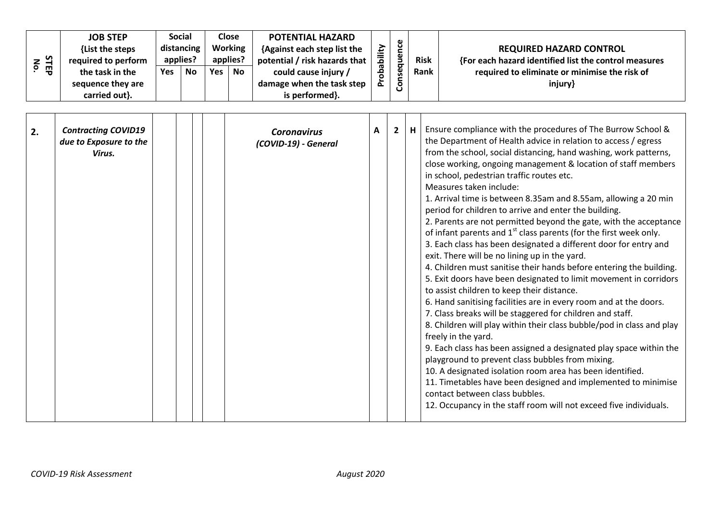|        | <b>JOB STEP</b>     | Social<br>distancing |           |                | Close     | <b>POTENTIAL HAZARD</b>       |                          | ഄ       |             |                                                       |
|--------|---------------------|----------------------|-----------|----------------|-----------|-------------------------------|--------------------------|---------|-------------|-------------------------------------------------------|
|        | {List the steps     |                      |           | <b>Working</b> |           | {Against each step list the   | ξÈ                       | ∼       |             | <b>REQUIRED HAZARD CONTROL</b>                        |
| ဖ<br>z | required to perform | applies?             |           |                | applies?  | potential / risk hazards that | abili                    | -       | <b>Risk</b> | {For each hazard identified list the control measures |
| 핑      | the task in the     | <b>Yes</b>           | <b>No</b> | Yes            | <b>No</b> | could cause injury /          | ᅀ<br>$\circ$             | Φ<br>S  | <b>Rank</b> | required to eliminate or minimise the risk of         |
|        | sequence they are   |                      |           |                |           | damage when the task step     | $\overline{\phantom{a}}$ | $\circ$ |             | injury}                                               |
|        | carried out}.       |                      |           |                |           | is performed }.               |                          |         |             |                                                       |

| 2. | <b>Contracting COVID19</b><br>due to Exposure to the<br>Virus. |  | <b>Coronavirus</b><br>(COVID-19) - General | A | $2^{\circ}$ | Ensure compliance with the procedures of The Burrow School &<br>the Department of Health advice in relation to access / egress<br>from the school, social distancing, hand washing, work patterns,<br>close working, ongoing management & location of staff members<br>in school, pedestrian traffic routes etc.<br>Measures taken include:<br>1. Arrival time is between 8.35am and 8.55am, allowing a 20 min<br>period for children to arrive and enter the building.<br>2. Parents are not permitted beyond the gate, with the acceptance<br>of infant parents and 1 <sup>st</sup> class parents (for the first week only.<br>3. Each class has been designated a different door for entry and<br>exit. There will be no lining up in the yard.<br>4. Children must sanitise their hands before entering the building.<br>5. Exit doors have been designated to limit movement in corridors<br>to assist children to keep their distance.<br>6. Hand sanitising facilities are in every room and at the doors.<br>7. Class breaks will be staggered for children and staff.<br>8. Children will play within their class bubble/pod in class and play<br>freely in the yard.<br>9. Each class has been assigned a designated play space within the<br>playground to prevent class bubbles from mixing.<br>10. A designated isolation room area has been identified.<br>11. Timetables have been designed and implemented to minimise<br>contact between class bubbles. |
|----|----------------------------------------------------------------|--|--------------------------------------------|---|-------------|--------------------------------------------------------------------------------------------------------------------------------------------------------------------------------------------------------------------------------------------------------------------------------------------------------------------------------------------------------------------------------------------------------------------------------------------------------------------------------------------------------------------------------------------------------------------------------------------------------------------------------------------------------------------------------------------------------------------------------------------------------------------------------------------------------------------------------------------------------------------------------------------------------------------------------------------------------------------------------------------------------------------------------------------------------------------------------------------------------------------------------------------------------------------------------------------------------------------------------------------------------------------------------------------------------------------------------------------------------------------------------------------------------------------------------------------------------------------------|
|    |                                                                |  |                                            |   |             | 12. Occupancy in the staff room will not exceed five individuals.                                                                                                                                                                                                                                                                                                                                                                                                                                                                                                                                                                                                                                                                                                                                                                                                                                                                                                                                                                                                                                                                                                                                                                                                                                                                                                                                                                                                        |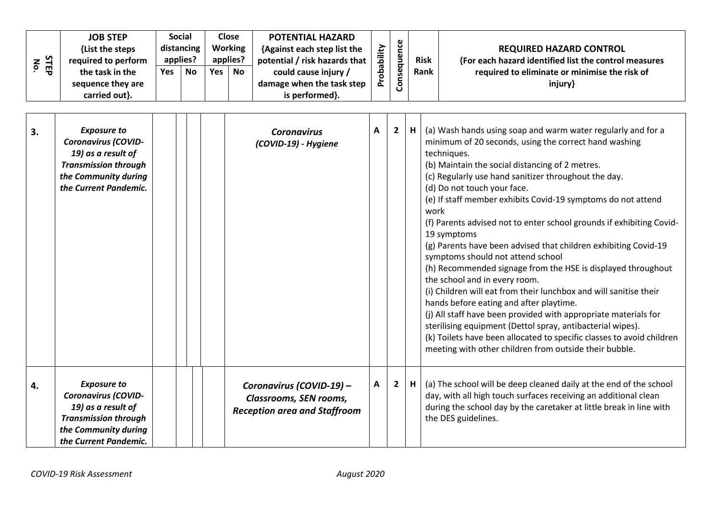| No. | STEP | <b>JOB STEP</b><br>{List the steps<br>required to perform<br>the task in the<br>sequence they are<br>carried out}.                                     | <b>Yes</b> | <b>Social</b><br>distancing<br>applies?<br><b>No</b> | Yes | <b>Close</b><br><b>Working</b><br>applies?<br><b>No</b> | <b>POTENTIAL HAZARD</b><br>{Against each step list the<br>potential / risk hazards that<br>could cause injury /<br>damage when the task step<br>is performed}. | Probability | Consequence    |   | <b>Risk</b><br>Rank | <b>REQUIRED HAZARD CONTROL</b><br>{For each hazard identified list the control measures<br>required to eliminate or minimise the risk of<br>injury}                                                                                                                                                                                                                                                                                                                                                                                                                                                                                                                                                                                                                                                                                                                                                                                                                                                                                |
|-----|------|--------------------------------------------------------------------------------------------------------------------------------------------------------|------------|------------------------------------------------------|-----|---------------------------------------------------------|----------------------------------------------------------------------------------------------------------------------------------------------------------------|-------------|----------------|---|---------------------|------------------------------------------------------------------------------------------------------------------------------------------------------------------------------------------------------------------------------------------------------------------------------------------------------------------------------------------------------------------------------------------------------------------------------------------------------------------------------------------------------------------------------------------------------------------------------------------------------------------------------------------------------------------------------------------------------------------------------------------------------------------------------------------------------------------------------------------------------------------------------------------------------------------------------------------------------------------------------------------------------------------------------------|
| 3.  |      | <b>Exposure to</b><br><b>Coronavirus (COVID-</b><br>19) as a result of<br><b>Transmission through</b><br>the Community during<br>the Current Pandemic. |            |                                                      |     |                                                         | <b>Coronavirus</b><br>(COVID-19) - Hygiene                                                                                                                     | A           | $\overline{2}$ | H | work                | (a) Wash hands using soap and warm water regularly and for a<br>minimum of 20 seconds, using the correct hand washing<br>techniques.<br>(b) Maintain the social distancing of 2 metres.<br>(c) Regularly use hand sanitizer throughout the day.<br>(d) Do not touch your face.<br>(e) If staff member exhibits Covid-19 symptoms do not attend<br>(f) Parents advised not to enter school grounds if exhibiting Covid-<br>19 symptoms<br>(g) Parents have been advised that children exhibiting Covid-19<br>symptoms should not attend school<br>(h) Recommended signage from the HSE is displayed throughout<br>the school and in every room.<br>(i) Children will eat from their lunchbox and will sanitise their<br>hands before eating and after playtime.<br>(i) All staff have been provided with appropriate materials for<br>sterilising equipment (Dettol spray, antibacterial wipes).<br>(k) Toilets have been allocated to specific classes to avoid children<br>meeting with other children from outside their bubble. |
| 4.  |      | <b>Exposure to</b><br>Coronavirus (COVID-<br>19) as a result of<br><b>Transmission through</b><br>the Community during<br>the Current Pandemic.        |            |                                                      |     |                                                         | Coronavirus (COVID-19) -<br>Classrooms, SEN rooms,<br><b>Reception area and Staffroom</b>                                                                      | Α           | $\mathbf{2}$   | H |                     | (a) The school will be deep cleaned daily at the end of the school<br>day, with all high touch surfaces receiving an additional clean<br>during the school day by the caretaker at little break in line with<br>the DES guidelines.                                                                                                                                                                                                                                                                                                                                                                                                                                                                                                                                                                                                                                                                                                                                                                                                |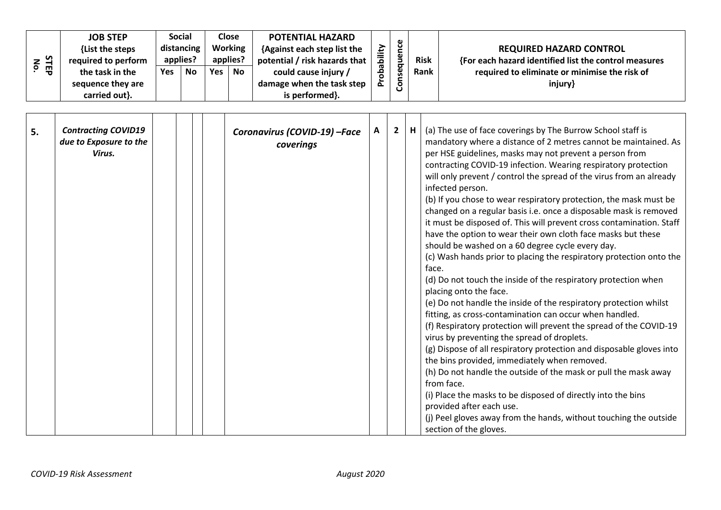|             | <b>JOB STEP</b>     | Social     |           | Close          |           | <b>POTENTIAL HAZARD</b>       | ξÈ             | ഄ       |             |                                                       |
|-------------|---------------------|------------|-----------|----------------|-----------|-------------------------------|----------------|---------|-------------|-------------------------------------------------------|
|             | {List the steps     | distancing |           | <b>Working</b> |           | {Against each step list the   |                |         |             | <b>REQUIRED HAZARD CONTROL</b>                        |
| ဖ<br>z<br>⊣ | required to perform | applies?   |           | applies?       |           | potential / risk hazards that | $=$<br>용       | -       | <b>Risk</b> | {For each hazard identified list the control measures |
| 핆           | the task in the     | Yes        | <b>No</b> | Yes            | <b>No</b> | could cause injury /          | ء<br>$\bullet$ | Φ<br>S  | <b>Rank</b> | required to eliminate or minimise the risk of         |
|             | sequence they are   |            |           |                |           | damage when the task step     | ᅌ              | $\circ$ |             | injury}                                               |
|             | carried out}.       |            |           |                |           | is performed}.                |                |         |             |                                                       |

| 5. | <b>Contracting COVID19</b><br>due to Exposure to the<br>Virus. |  | Coronavirus (COVID-19) - Face<br>coverings | Α | $\overline{2}$ | H | (a) The use of face coverings by The Burrow School staff is<br>mandatory where a distance of 2 metres cannot be maintained. As<br>per HSE guidelines, masks may not prevent a person from<br>contracting COVID-19 infection. Wearing respiratory protection<br>will only prevent / control the spread of the virus from an already<br>infected person.<br>(b) If you chose to wear respiratory protection, the mask must be<br>changed on a regular basis i.e. once a disposable mask is removed<br>it must be disposed of. This will prevent cross contamination. Staff<br>have the option to wear their own cloth face masks but these<br>should be washed on a 60 degree cycle every day.<br>(c) Wash hands prior to placing the respiratory protection onto the<br>face.<br>(d) Do not touch the inside of the respiratory protection when<br>placing onto the face.<br>(e) Do not handle the inside of the respiratory protection whilst<br>fitting, as cross-contamination can occur when handled.<br>(f) Respiratory protection will prevent the spread of the COVID-19<br>virus by preventing the spread of droplets.<br>(g) Dispose of all respiratory protection and disposable gloves into<br>the bins provided, immediately when removed.<br>(h) Do not handle the outside of the mask or pull the mask away<br>from face.<br>(i) Place the masks to be disposed of directly into the bins |
|----|----------------------------------------------------------------|--|--------------------------------------------|---|----------------|---|--------------------------------------------------------------------------------------------------------------------------------------------------------------------------------------------------------------------------------------------------------------------------------------------------------------------------------------------------------------------------------------------------------------------------------------------------------------------------------------------------------------------------------------------------------------------------------------------------------------------------------------------------------------------------------------------------------------------------------------------------------------------------------------------------------------------------------------------------------------------------------------------------------------------------------------------------------------------------------------------------------------------------------------------------------------------------------------------------------------------------------------------------------------------------------------------------------------------------------------------------------------------------------------------------------------------------------------------------------------------------------------------------------|
|    |                                                                |  |                                            |   |                |   | provided after each use.<br>(j) Peel gloves away from the hands, without touching the outside<br>section of the gloves.                                                                                                                                                                                                                                                                                                                                                                                                                                                                                                                                                                                                                                                                                                                                                                                                                                                                                                                                                                                                                                                                                                                                                                                                                                                                                |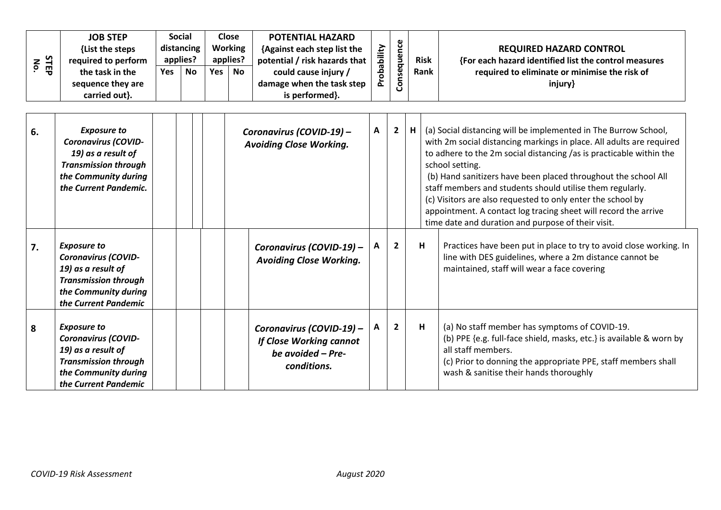| STEP<br>No. | <b>JOB STEP</b><br>{List the steps<br>required to perform<br>the task in the<br>sequence they are<br>carried out}.                                     | Yes | <b>Social</b><br>distancing<br>applies?<br><b>No</b> | <b>Yes</b> | <b>Close</b><br><b>Working</b><br>applies?<br>No | <b>POTENTIAL HAZARD</b><br>{Against each step list the<br>potential / risk hazards that<br>could cause injury /<br>damage when the task step<br>is performed}. | Probability | Consequence    |   | <b>Risk</b><br>Rank | <b>REQUIRED HAZARD CONTROL</b><br>{For each hazard identified list the control measures<br>required to eliminate or minimise the risk of<br>injury}                                                                                                                                                                                                                                                                                                                                                                                                      |
|-------------|--------------------------------------------------------------------------------------------------------------------------------------------------------|-----|------------------------------------------------------|------------|--------------------------------------------------|----------------------------------------------------------------------------------------------------------------------------------------------------------------|-------------|----------------|---|---------------------|----------------------------------------------------------------------------------------------------------------------------------------------------------------------------------------------------------------------------------------------------------------------------------------------------------------------------------------------------------------------------------------------------------------------------------------------------------------------------------------------------------------------------------------------------------|
| 6.          | <b>Exposure to</b><br><b>Coronavirus (COVID-</b><br>19) as a result of<br><b>Transmission through</b><br>the Community during<br>the Current Pandemic. |     |                                                      |            |                                                  | Coronavirus (COVID-19) -<br><b>Avoiding Close Working.</b>                                                                                                     | A           | $\overline{2}$ | н |                     | (a) Social distancing will be implemented in The Burrow School,<br>with 2m social distancing markings in place. All adults are required<br>to adhere to the 2m social distancing /as is practicable within the<br>school setting.<br>(b) Hand sanitizers have been placed throughout the school All<br>staff members and students should utilise them regularly.<br>(c) Visitors are also requested to only enter the school by<br>appointment. A contact log tracing sheet will record the arrive<br>time date and duration and purpose of their visit. |
| 7.          | <b>Exposure to</b><br><b>Coronavirus (COVID-</b><br>19) as a result of<br><b>Transmission through</b><br>the Community during<br>the Current Pandemic  |     |                                                      |            |                                                  | Coronavirus (COVID-19) -<br><b>Avoiding Close Working.</b>                                                                                                     | A           | $\overline{2}$ |   | H                   | Practices have been put in place to try to avoid close working. In<br>line with DES guidelines, where a 2m distance cannot be<br>maintained, staff will wear a face covering                                                                                                                                                                                                                                                                                                                                                                             |
| 8           | <b>Exposure to</b><br><b>Coronavirus (COVID-</b><br>19) as a result of<br><b>Transmission through</b><br>the Community during<br>the Current Pandemic  |     |                                                      |            |                                                  | Coronavirus (COVID-19) -<br>If Close Working cannot<br>be avoided $-$ Pre-<br>conditions.                                                                      | A           | $\overline{2}$ |   | H                   | (a) No staff member has symptoms of COVID-19.<br>(b) PPE {e.g. full-face shield, masks, etc.} is available & worn by<br>all staff members.<br>(c) Prior to donning the appropriate PPE, staff members shall<br>wash & sanitise their hands thoroughly                                                                                                                                                                                                                                                                                                    |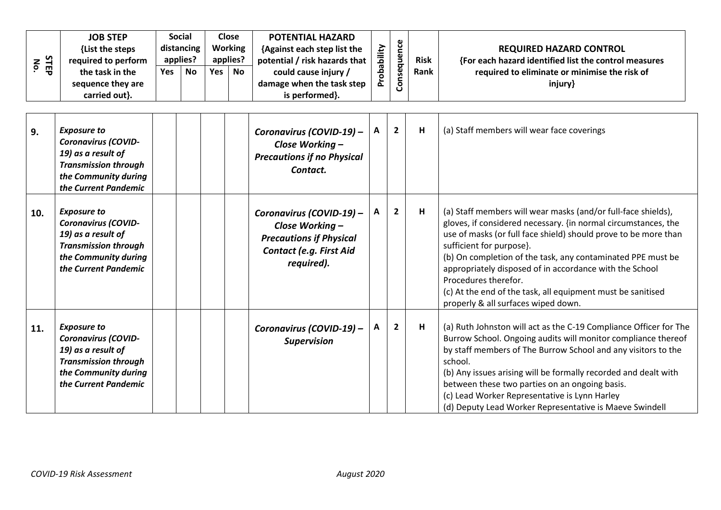| <b>STEP</b><br>No. | <b>JOB STEP</b><br>{List the steps<br>required to perform<br>the task in the<br>sequence they are<br>carried out}.                                    | Yes | <b>Social</b><br>distancing<br>applies?<br>No | Yes | <b>Close</b><br><b>Working</b><br>applies?<br><b>No</b> | <b>POTENTIAL HAZARD</b><br>{Against each step list the<br>potential / risk hazards that<br>could cause injury /<br>damage when the task step<br>is performed}. | Probability | Consequence    | <b>Risk</b><br>Rank | <b>REQUIRED HAZARD CONTROL</b><br>{For each hazard identified list the control measures<br>required to eliminate or minimise the risk of<br>injury}                                                                                                                                                                                                                                                                                                                                    |
|--------------------|-------------------------------------------------------------------------------------------------------------------------------------------------------|-----|-----------------------------------------------|-----|---------------------------------------------------------|----------------------------------------------------------------------------------------------------------------------------------------------------------------|-------------|----------------|---------------------|----------------------------------------------------------------------------------------------------------------------------------------------------------------------------------------------------------------------------------------------------------------------------------------------------------------------------------------------------------------------------------------------------------------------------------------------------------------------------------------|
| 9.                 | <b>Exposure to</b><br><b>Coronavirus (COVID-</b><br>19) as a result of<br><b>Transmission through</b><br>the Community during<br>the Current Pandemic |     |                                               |     |                                                         | Coronavirus (COVID-19) -<br>Close Working -<br><b>Precautions if no Physical</b><br>Contact.                                                                   | A           | $\overline{2}$ | H                   | (a) Staff members will wear face coverings                                                                                                                                                                                                                                                                                                                                                                                                                                             |
| 10.                | <b>Exposure to</b><br><b>Coronavirus (COVID-</b><br>19) as a result of<br><b>Transmission through</b><br>the Community during<br>the Current Pandemic |     |                                               |     |                                                         | Coronavirus (COVID-19) -<br>Close Working -<br><b>Precautions if Physical</b><br>Contact (e.g. First Aid<br>required).                                         | Α           | $\overline{2}$ | н                   | (a) Staff members will wear masks (and/or full-face shields),<br>gloves, if considered necessary. {in normal circumstances, the<br>use of masks (or full face shield) should prove to be more than<br>sufficient for purpose}.<br>(b) On completion of the task, any contaminated PPE must be<br>appropriately disposed of in accordance with the School<br>Procedures therefor.<br>(c) At the end of the task, all equipment must be sanitised<br>properly & all surfaces wiped down. |
| 11.                | <b>Exposure to</b><br><b>Coronavirus (COVID-</b><br>19) as a result of<br><b>Transmission through</b><br>the Community during<br>the Current Pandemic |     |                                               |     |                                                         | Coronavirus (COVID-19) -<br><b>Supervision</b>                                                                                                                 | Α           | $\overline{2}$ | H                   | (a) Ruth Johnston will act as the C-19 Compliance Officer for The<br>Burrow School. Ongoing audits will monitor compliance thereof<br>by staff members of The Burrow School and any visitors to the<br>school.<br>(b) Any issues arising will be formally recorded and dealt with<br>between these two parties on an ongoing basis.<br>(c) Lead Worker Representative is Lynn Harley<br>(d) Deputy Lead Worker Representative is Maeve Swindell                                        |